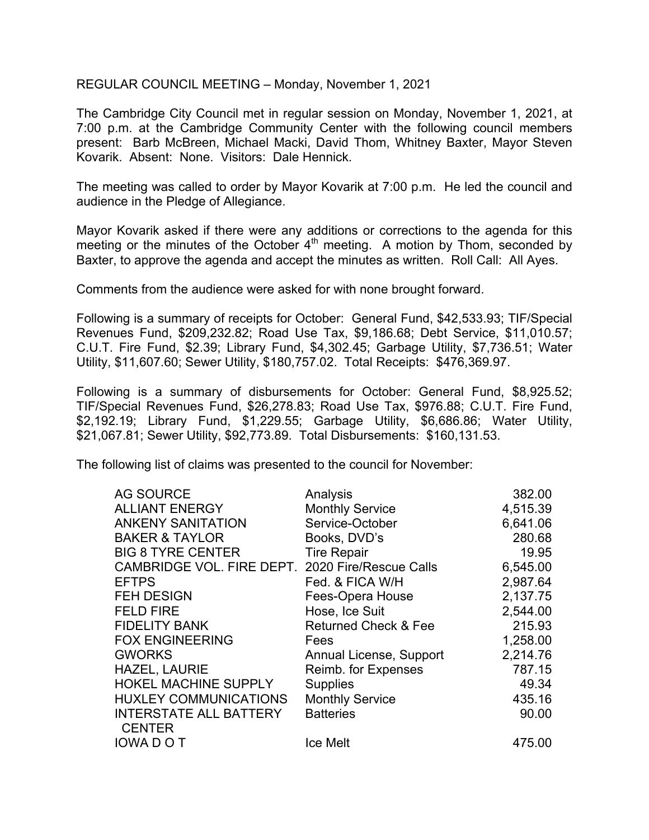REGULAR COUNCIL MEETING – Monday, November 1, 2021

The Cambridge City Council met in regular session on Monday, November 1, 2021, at 7:00 p.m. at the Cambridge Community Center with the following council members present: Barb McBreen, Michael Macki, David Thom, Whitney Baxter, Mayor Steven Kovarik. Absent: None. Visitors: Dale Hennick.

The meeting was called to order by Mayor Kovarik at 7:00 p.m. He led the council and audience in the Pledge of Allegiance.

Mayor Kovarik asked if there were any additions or corrections to the agenda for this meeting or the minutes of the October 4<sup>th</sup> meeting. A motion by Thom, seconded by Baxter, to approve the agenda and accept the minutes as written. Roll Call: All Ayes.

Comments from the audience were asked for with none brought forward.

Following is a summary of receipts for October: General Fund, \$42,533.93; TIF/Special Revenues Fund, \$209,232.82; Road Use Tax, \$9,186.68; Debt Service, \$11,010.57; C.U.T. Fire Fund, \$2.39; Library Fund, \$4,302.45; Garbage Utility, \$7,736.51; Water Utility, \$11,607.60; Sewer Utility, \$180,757.02. Total Receipts: \$476,369.97.

Following is a summary of disbursements for October: General Fund, \$8,925.52; TIF/Special Revenues Fund, \$26,278.83; Road Use Tax, \$976.88; C.U.T. Fire Fund, \$2,192.19; Library Fund, \$1,229.55; Garbage Utility, \$6,686.86; Water Utility, \$21,067.81; Sewer Utility, \$92,773.89. Total Disbursements: \$160,131.53.

The following list of claims was presented to the council for November:

| <b>AG SOURCE</b>                                 | Analysis                        | 382.00   |
|--------------------------------------------------|---------------------------------|----------|
| <b>ALLIANT ENERGY</b>                            | <b>Monthly Service</b>          | 4,515.39 |
| <b>ANKENY SANITATION</b>                         | Service-October                 | 6,641.06 |
| <b>BAKER &amp; TAYLOR</b>                        | Books, DVD's                    | 280.68   |
| <b>BIG 8 TYRE CENTER</b>                         | <b>Tire Repair</b>              | 19.95    |
| CAMBRIDGE VOL. FIRE DEPT. 2020 Fire/Rescue Calls |                                 | 6,545.00 |
| <b>EFTPS</b>                                     | Fed. & FICA W/H                 | 2,987.64 |
| <b>FEH DESIGN</b>                                | Fees-Opera House                | 2,137.75 |
| <b>FELD FIRE</b>                                 | Hose, Ice Suit                  | 2,544.00 |
| <b>FIDELITY BANK</b>                             | <b>Returned Check &amp; Fee</b> | 215.93   |
| <b>FOX ENGINEERING</b>                           | Fees                            | 1,258.00 |
| <b>GWORKS</b>                                    | Annual License, Support         | 2,214.76 |
| <b>HAZEL, LAURIE</b>                             | Reimb. for Expenses             | 787.15   |
| <b>HOKEL MACHINE SUPPLY</b>                      | <b>Supplies</b>                 | 49.34    |
| <b>HUXLEY COMMUNICATIONS</b>                     | <b>Monthly Service</b>          | 435.16   |
| <b>INTERSTATE ALL BATTERY</b><br><b>CENTER</b>   | <b>Batteries</b>                | 90.00    |
| <b>IOWADOT</b>                                   | <b>Ice Melt</b>                 | 475.00   |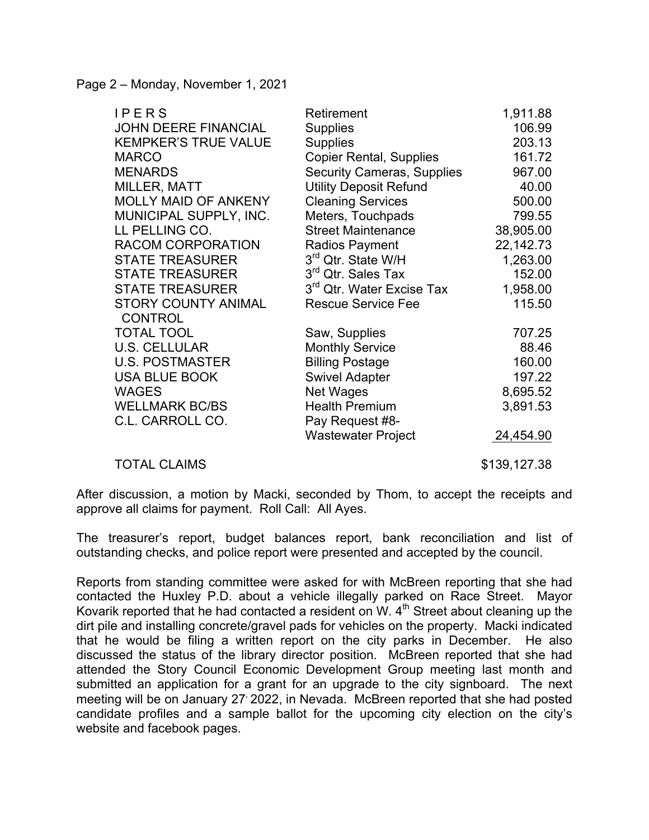Page 2 – Monday, November 1, 2021

| IPERS                                        | Retirement                            | 1,911.88  |
|----------------------------------------------|---------------------------------------|-----------|
| <b>JOHN DEERE FINANCIAL</b>                  | <b>Supplies</b>                       | 106.99    |
| <b>KEMPKER'S TRUE VALUE</b>                  | <b>Supplies</b>                       | 203.13    |
| <b>MARCO</b>                                 | <b>Copier Rental, Supplies</b>        | 161.72    |
| <b>MENARDS</b>                               | <b>Security Cameras, Supplies</b>     | 967.00    |
| MILLER, MATT                                 | <b>Utility Deposit Refund</b>         | 40.00     |
| <b>MOLLY MAID OF ANKENY</b>                  | <b>Cleaning Services</b>              | 500.00    |
| MUNICIPAL SUPPLY, INC.                       | Meters, Touchpads                     | 799.55    |
| LL PELLING CO.                               | <b>Street Maintenance</b>             | 38,905.00 |
| RACOM CORPORATION                            | Radios Payment                        | 22,142.73 |
| <b>STATE TREASURER</b>                       | 3rd Qtr. State W/H                    | 1,263.00  |
| <b>STATE TREASURER</b>                       | 3 <sup>rd</sup> Qtr. Sales Tax        | 152.00    |
| <b>STATE TREASURER</b>                       | 3 <sup>rd</sup> Qtr. Water Excise Tax | 1,958.00  |
| <b>STORY COUNTY ANIMAL</b><br><b>CONTROL</b> | <b>Rescue Service Fee</b>             | 115.50    |
| <b>TOTAL TOOL</b>                            | Saw, Supplies                         | 707.25    |
| <b>U.S. CELLULAR</b>                         | <b>Monthly Service</b>                | 88.46     |
| <b>U.S. POSTMASTER</b>                       | <b>Billing Postage</b>                | 160.00    |
| <b>USA BLUE BOOK</b>                         | <b>Swivel Adapter</b>                 | 197.22    |
| <b>WAGES</b>                                 | Net Wages                             | 8,695.52  |
| <b>WELLMARK BC/BS</b>                        | <b>Health Premium</b>                 | 3,891.53  |
| C.L. CARROLL CO.                             | Pay Request #8-                       |           |
|                                              | <b>Wastewater Project</b>             | 24,454.90 |
|                                              |                                       |           |

TOTAL CLAIMS \$139,127.38

After discussion, a motion by Macki, seconded by Thom, to accept the receipts and approve all claims for payment. Roll Call: All Ayes.

The treasurer's report, budget balances report, bank reconciliation and list of outstanding checks, and police report were presented and accepted by the council.

Reports from standing committee were asked for with McBreen reporting that she had contacted the Huxley P.D. about a vehicle illegally parked on Race Street. Mayor Kovarik reported that he had contacted a resident on W.  $4<sup>th</sup>$  Street about cleaning up the dirt pile and installing concrete/gravel pads for vehicles on the property. Macki indicated that he would be filing a written report on the city parks in December. He also discussed the status of the library director position. McBreen reported that she had attended the Story Council Economic Development Group meeting last month and submitted an application for a grant for an upgrade to the city signboard. The next meeting will be on January 27 2022, in Nevada. McBreen reported that she had posted candidate profiles and a sample ballot for the upcoming city election on the city's website and facebook pages.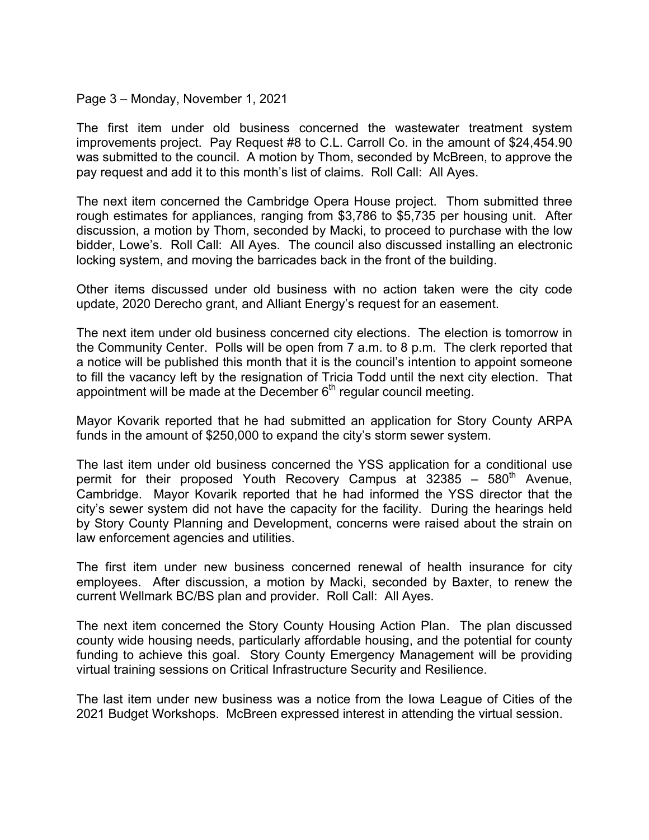## Page 3 – Monday, November 1, 2021

The first item under old business concerned the wastewater treatment system improvements project. Pay Request #8 to C.L. Carroll Co. in the amount of \$24,454.90 was submitted to the council. A motion by Thom, seconded by McBreen, to approve the pay request and add it to this month's list of claims. Roll Call: All Ayes.

The next item concerned the Cambridge Opera House project. Thom submitted three rough estimates for appliances, ranging from \$3,786 to \$5,735 per housing unit. After discussion, a motion by Thom, seconded by Macki, to proceed to purchase with the low bidder, Lowe's. Roll Call: All Ayes. The council also discussed installing an electronic locking system, and moving the barricades back in the front of the building.

Other items discussed under old business with no action taken were the city code update, 2020 Derecho grant, and Alliant Energy's request for an easement.

The next item under old business concerned city elections. The election is tomorrow in the Community Center. Polls will be open from 7 a.m. to 8 p.m. The clerk reported that a notice will be published this month that it is the council's intention to appoint someone to fill the vacancy left by the resignation of Tricia Todd until the next city election. That appointment will be made at the December  $6<sup>th</sup>$  regular council meeting.

Mayor Kovarik reported that he had submitted an application for Story County ARPA funds in the amount of \$250,000 to expand the city's storm sewer system.

The last item under old business concerned the YSS application for a conditional use permit for their proposed Youth Recovery Campus at 32385 – 580<sup>th</sup> Avenue, Cambridge. Mayor Kovarik reported that he had informed the YSS director that the city's sewer system did not have the capacity for the facility. During the hearings held by Story County Planning and Development, concerns were raised about the strain on law enforcement agencies and utilities.

The first item under new business concerned renewal of health insurance for city employees. After discussion, a motion by Macki, seconded by Baxter, to renew the current Wellmark BC/BS plan and provider. Roll Call: All Ayes.

The next item concerned the Story County Housing Action Plan. The plan discussed county wide housing needs, particularly affordable housing, and the potential for county funding to achieve this goal. Story County Emergency Management will be providing virtual training sessions on Critical Infrastructure Security and Resilience.

The last item under new business was a notice from the Iowa League of Cities of the 2021 Budget Workshops. McBreen expressed interest in attending the virtual session.